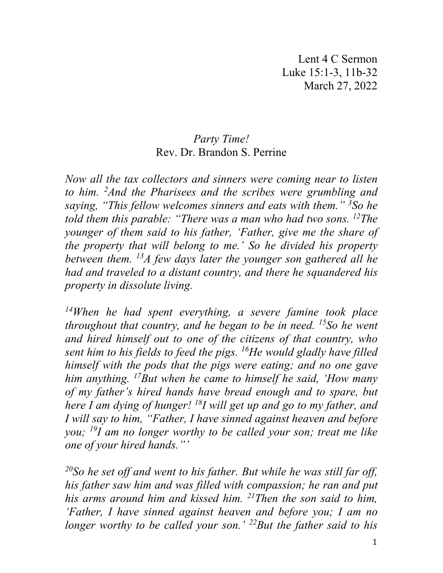Lent 4 C Sermon Luke 15:1-3, 11b-32 March 27, 2022

## *Party Time!* Rev. Dr. Brandon S. Perrine

*Now all the tax collectors and sinners were coming near to listen to him. 2 And the Pharisees and the scribes were grumbling and saying, "This fellow welcomes sinners and eats with them." 3 So he told them this parable: "There was a man who had two sons. 12The younger of them said to his father, 'Father, give me the share of the property that will belong to me.' So he divided his property between them. 13A few days later the younger son gathered all he had and traveled to a distant country, and there he squandered his property in dissolute living.* 

*14When he had spent everything, a severe famine took place throughout that country, and he began to be in need. 15So he went and hired himself out to one of the citizens of that country, who sent him to his fields to feed the pigs. 16He would gladly have filled himself with the pods that the pigs were eating; and no one gave him anything. 17But when he came to himself he said, 'How many of my father's hired hands have bread enough and to spare, but here I am dying of hunger! 18I will get up and go to my father, and I will say to him, "Father, I have sinned against heaven and before you; 19I am no longer worthy to be called your son; treat me like one of your hired hands."'* 

*20So he set off and went to his father. But while he was still far off, his father saw him and was filled with compassion; he ran and put his arms around him and kissed him. 21Then the son said to him, 'Father, I have sinned against heaven and before you; I am no longer worthy to be called your son.' 22But the father said to his*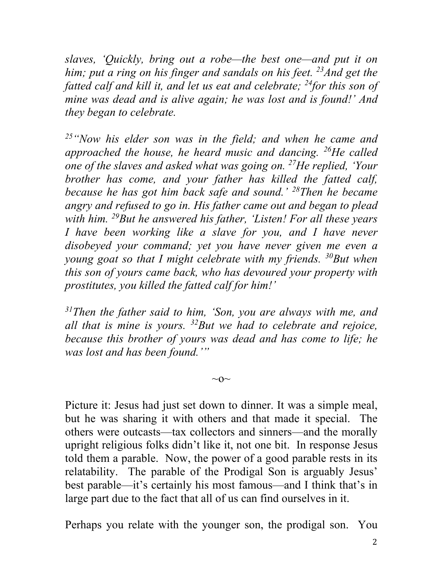*slaves, 'Quickly, bring out a robe—the best one—and put it on*  him; put a ring on his finger and sandals on his feet. <sup>23</sup> And get the *fatted calf and kill it, and let us eat and celebrate; 24for this son of mine was dead and is alive again; he was lost and is found!' And they began to celebrate.* 

*25"Now his elder son was in the field; and when he came and approached the house, he heard music and dancing. 26He called one of the slaves and asked what was going on. 27He replied, 'Your brother has come, and your father has killed the fatted calf, because he has got him back safe and sound.' 28Then he became angry and refused to go in. His father came out and began to plead with him. 29But he answered his father, 'Listen! For all these years I have been working like a slave for you, and I have never disobeyed your command; yet you have never given me even a young goat so that I might celebrate with my friends. 30But when this son of yours came back, who has devoured your property with prostitutes, you killed the fatted calf for him!'* 

*31Then the father said to him, 'Son, you are always with me, and all that is mine is yours. 32But we had to celebrate and rejoice, because this brother of yours was dead and has come to life; he was lost and has been found.'"*

 $\sim$ O $\sim$ 

Picture it: Jesus had just set down to dinner. It was a simple meal, but he was sharing it with others and that made it special. The others were outcasts—tax collectors and sinners—and the morally upright religious folks didn't like it, not one bit. In response Jesus told them a parable. Now, the power of a good parable rests in its relatability. The parable of the Prodigal Son is arguably Jesus' best parable—it's certainly his most famous—and I think that's in large part due to the fact that all of us can find ourselves in it.

Perhaps you relate with the younger son, the prodigal son. You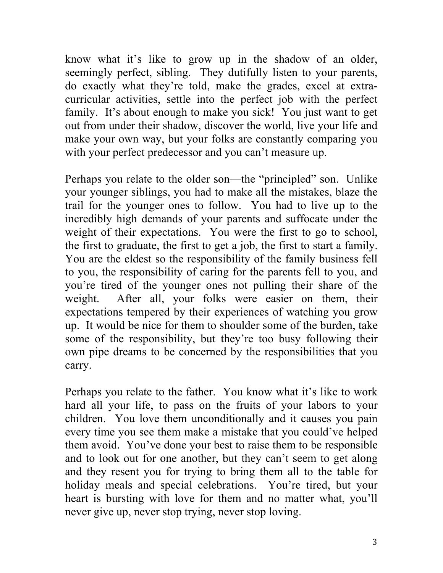know what it's like to grow up in the shadow of an older, seemingly perfect, sibling. They dutifully listen to your parents, do exactly what they're told, make the grades, excel at extracurricular activities, settle into the perfect job with the perfect family. It's about enough to make you sick! You just want to get out from under their shadow, discover the world, live your life and make your own way, but your folks are constantly comparing you with your perfect predecessor and you can't measure up.

Perhaps you relate to the older son—the "principled" son. Unlike your younger siblings, you had to make all the mistakes, blaze the trail for the younger ones to follow. You had to live up to the incredibly high demands of your parents and suffocate under the weight of their expectations. You were the first to go to school, the first to graduate, the first to get a job, the first to start a family. You are the eldest so the responsibility of the family business fell to you, the responsibility of caring for the parents fell to you, and you're tired of the younger ones not pulling their share of the weight. After all, your folks were easier on them, their expectations tempered by their experiences of watching you grow up. It would be nice for them to shoulder some of the burden, take some of the responsibility, but they're too busy following their own pipe dreams to be concerned by the responsibilities that you carry.

Perhaps you relate to the father. You know what it's like to work hard all your life, to pass on the fruits of your labors to your children. You love them unconditionally and it causes you pain every time you see them make a mistake that you could've helped them avoid. You've done your best to raise them to be responsible and to look out for one another, but they can't seem to get along and they resent you for trying to bring them all to the table for holiday meals and special celebrations. You're tired, but your heart is bursting with love for them and no matter what, you'll never give up, never stop trying, never stop loving.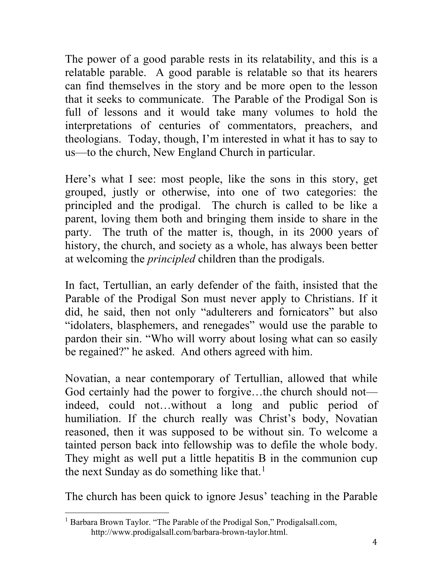The power of a good parable rests in its relatability, and this is a relatable parable. A good parable is relatable so that its hearers can find themselves in the story and be more open to the lesson that it seeks to communicate. The Parable of the Prodigal Son is full of lessons and it would take many volumes to hold the interpretations of centuries of commentators, preachers, and theologians. Today, though, I'm interested in what it has to say to us—to the church, New England Church in particular.

Here's what I see: most people, like the sons in this story, get grouped, justly or otherwise, into one of two categories: the principled and the prodigal. The church is called to be like a parent, loving them both and bringing them inside to share in the party. The truth of the matter is, though, in its 2000 years of history, the church, and society as a whole, has always been better at welcoming the *principled* children than the prodigals.

In fact, Tertullian, an early defender of the faith, insisted that the Parable of the Prodigal Son must never apply to Christians. If it did, he said, then not only "adulterers and fornicators" but also "idolaters, blasphemers, and renegades" would use the parable to pardon their sin. "Who will worry about losing what can so easily be regained?" he asked. And others agreed with him.

Novatian, a near contemporary of Tertullian, allowed that while God certainly had the power to forgive…the church should not indeed, could not…without a long and public period of humiliation. If the church really was Christ's body, Novatian reasoned, then it was supposed to be without sin. To welcome a tainted person back into fellowship was to defile the whole body. They might as well put a little hepatitis B in the communion cup the next Sunday as do something like that.<sup>[1](#page-3-0)</sup>

The church has been quick to ignore Jesus' teaching in the Parable

<span id="page-3-0"></span><sup>&</sup>lt;sup>1</sup> Barbara Brown Taylor. "The Parable of the Prodigal Son," Prodigalsall.com, http://www.prodigalsall.com/barbara-brown-taylor.html.